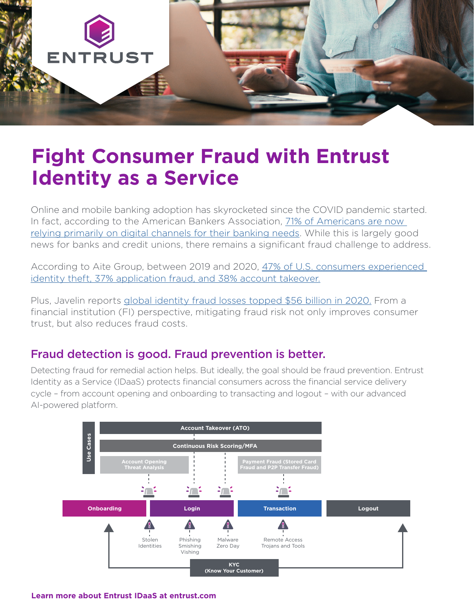

# **Fight Consumer Fraud with Entrust Identity as a Service**

Online and mobile banking adoption has skyrocketed since the COVID pandemic started. In fact, according to the American Bankers Association, [71% of Americans are now](https://thefinancialbrand.com/107582/garret-online-mobile-banking-adoption-rates-covid/)  [relying primarily on digital channels for their banking needs](https://thefinancialbrand.com/107582/garret-online-mobile-banking-adoption-rates-covid/). While this is largely good news for banks and credit unions, there remains a significant fraud challenge to address.

According to Aite Group, between 2019 and 2020, [47% of U.S. consumers experienced](https://www.giact.com/sem-us-identity-theft-the-stark-reality/)  [identity theft, 37% application fraud, and 38% account takeover.](https://www.giact.com/sem-us-identity-theft-the-stark-reality/)

Plus, Javelin reports [global identity fraud losses topped \\$56 billion in 2020.](https://www.businesswire.com/news/home/20210323005370/en/Total-Identity-Fraud-Losses-Soar-to-56-Billion-in-2020) From a financial institution (FI) perspective, mitigating fraud risk not only improves consumer trust, but also reduces fraud costs.

### Fraud detection is good. Fraud prevention is better.

Detecting fraud for remedial action helps. But ideally, the goal should be fraud prevention. Entrust Identity as a Service (IDaaS) protects financial consumers across the financial service delivery cycle – from account opening and onboarding to transacting and logout – with our advanced AI-powered platform.